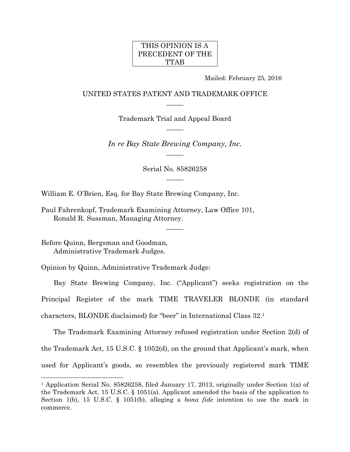## THIS OPINION IS A PRECEDENT OF THE TTAB

Mailed: February 25, 2016

## UNITED STATES PATENT AND TRADEMARK OFFICE  $\overline{\phantom{a}}$

Trademark Trial and Appeal Board  $\overline{\phantom{a}}$ 

*In re Bay State Brewing Company, Inc.*   $\overline{\phantom{a}}$ 

> Serial No. 85826258  $\overline{\phantom{a}}$

> > $\overline{\phantom{a}}$

William E. O'Brien, Esq. for Bay State Brewing Company, Inc.

Paul Fahrenkopf, Trademark Examining Attorney, Law Office 101, Ronald R. Sussman, Managing Attorney.

Before Quinn, Bergsman and Goodman, Administrative Trademark Judges.

1

Opinion by Quinn, Administrative Trademark Judge:

Bay State Brewing Company, Inc. ("Applicant") seeks registration on the Principal Register of the mark TIME TRAVELER BLONDE (in standard characters, BLONDE disclaimed) for "beer" in International Class 32.1

The Trademark Examining Attorney refused registration under Section 2(d) of the Trademark Act, 15 U.S.C. § 1052(d), on the ground that Applicant's mark, when used for Applicant's goods, so resembles the previously registered mark TIME

<sup>1</sup> Application Serial No. 85826258, filed January 17, 2013, originally under Section 1(a) of the Trademark Act, 15 U.S.C. § 1051(a). Applicant amended the basis of the application to Section 1(b), 15 U.S.C. § 1051(b), alleging a *bona fide* intention to use the mark in commerce.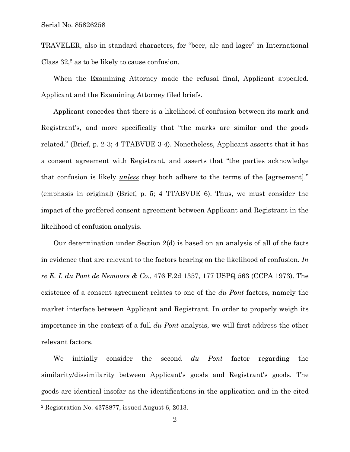TRAVELER, also in standard characters, for "beer, ale and lager" in International Class 32,2 as to be likely to cause confusion.

When the Examining Attorney made the refusal final, Applicant appealed. Applicant and the Examining Attorney filed briefs.

Applicant concedes that there is a likelihood of confusion between its mark and Registrant's, and more specifically that "the marks are similar and the goods related." (Brief, p. 2-3; 4 TTABVUE 3-4). Nonetheless, Applicant asserts that it has a consent agreement with Registrant, and asserts that "the parties acknowledge that confusion is likely *unless* they both adhere to the terms of the [agreement]." (emphasis in original) (Brief, p. 5; 4 TTABVUE 6). Thus, we must consider the impact of the proffered consent agreement between Applicant and Registrant in the likelihood of confusion analysis.

Our determination under Section 2(d) is based on an analysis of all of the facts in evidence that are relevant to the factors bearing on the likelihood of confusion. *In re E. I. du Pont de Nemours & Co.*, 476 F.2d 1357, 177 USPQ 563 (CCPA 1973). The existence of a consent agreement relates to one of the *du Pont* factors, namely the market interface between Applicant and Registrant. In order to properly weigh its importance in the context of a full *du Pont* analysis, we will first address the other relevant factors.

We initially consider the second *du Pont* factor regarding the similarity/dissimilarity between Applicant's goods and Registrant's goods. The goods are identical insofar as the identifications in the application and in the cited 1

<sup>2</sup> Registration No. 4378877, issued August 6, 2013.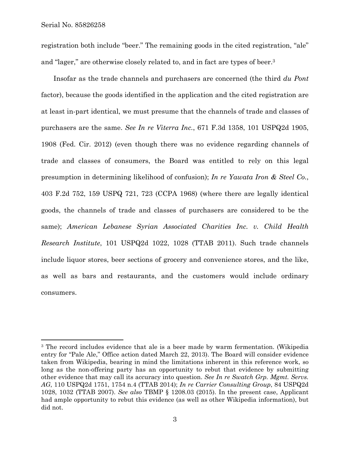registration both include "beer." The remaining goods in the cited registration, "ale" and "lager," are otherwise closely related to, and in fact are types of beer.3

Insofar as the trade channels and purchasers are concerned (the third *du Pont* factor), because the goods identified in the application and the cited registration are at least in-part identical, we must presume that the channels of trade and classes of purchasers are the same. *See In re Viterra Inc.*, 671 F.3d 1358, 101 USPQ2d 1905, 1908 (Fed. Cir. 2012) (even though there was no evidence regarding channels of trade and classes of consumers, the Board was entitled to rely on this legal presumption in determining likelihood of confusion); *In re Yawata Iron & Steel Co.*, 403 F.2d 752, 159 USPQ 721, 723 (CCPA 1968) (where there are legally identical goods, the channels of trade and classes of purchasers are considered to be the same); *American Lebanese Syrian Associated Charities Inc. v. Child Health Research Institute*, 101 USPQ2d 1022, 1028 (TTAB 2011). Such trade channels include liquor stores, beer sections of grocery and convenience stores, and the like, as well as bars and restaurants, and the customers would include ordinary consumers.

<sup>&</sup>lt;sup>3</sup> The record includes evidence that ale is a beer made by warm fermentation. (Wikipedia entry for "Pale Ale," Office action dated March 22, 2013). The Board will consider evidence taken from Wikipedia, bearing in mind the limitations inherent in this reference work, so long as the non-offering party has an opportunity to rebut that evidence by submitting other evidence that may call its accuracy into question. *See In re Swatch Grp. Mgmt. Servs. AG*, 110 USPQ2d 1751, 1754 n.4 (TTAB 2014); *In re Carrier Consulting Group*, 84 USPQ2d 1028, 1032 (TTAB 2007). *See also* TBMP § 1208.03 (2015). In the present case, Applicant had ample opportunity to rebut this evidence (as well as other Wikipedia information), but did not.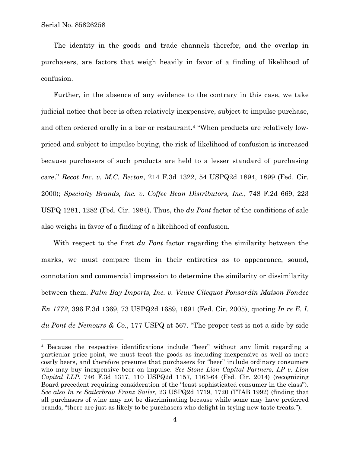The identity in the goods and trade channels therefor, and the overlap in purchasers, are factors that weigh heavily in favor of a finding of likelihood of confusion.

Further, in the absence of any evidence to the contrary in this case, we take judicial notice that beer is often relatively inexpensive, subject to impulse purchase, and often ordered orally in a bar or restaurant.4 "When products are relatively lowpriced and subject to impulse buying, the risk of likelihood of confusion is increased because purchasers of such products are held to a lesser standard of purchasing care." *Recot Inc. v. M.C. Becton*, 214 F.3d 1322, 54 USPQ2d 1894, 1899 (Fed. Cir. 2000); *Specialty Brands, Inc. v. Coffee Bean Distributors, Inc.*, 748 F.2d 669, 223 USPQ 1281, 1282 (Fed. Cir. 1984). Thus, the *du Pont* factor of the conditions of sale also weighs in favor of a finding of a likelihood of confusion.

With respect to the first *du Pont* factor regarding the similarity between the marks, we must compare them in their entireties as to appearance, sound, connotation and commercial impression to determine the similarity or dissimilarity between them. *Palm Bay Imports, Inc. v. Veuve Clicquot Ponsardin Maison Fondee En 1772*, 396 F.3d 1369, 73 USPQ2d 1689, 1691 (Fed. Cir. 2005), quoting *In re E. I. du Pont de Nemours & Co.*, 177 USPQ at 567. "The proper test is not a side-by-side

<sup>4</sup> Because the respective identifications include "beer" without any limit regarding a particular price point, we must treat the goods as including inexpensive as well as more costly beers, and therefore presume that purchasers for "beer" include ordinary consumers who may buy inexpensive beer on impulse. *See Stone Lion Capital Partners, LP v. Lion Capital LLP*, 746 F.3d 1317, 110 USPQ2d 1157, 1163-64 (Fed. Cir. 2014) (recognizing Board precedent requiring consideration of the "least sophisticated consumer in the class"). *See also In re Sailerbrau Franz Sailer,* 23 USPQ2d 1719, 1720 (TTAB 1992) (finding that all purchasers of wine may not be discriminating because while some may have preferred brands, "there are just as likely to be purchasers who delight in trying new taste treats.").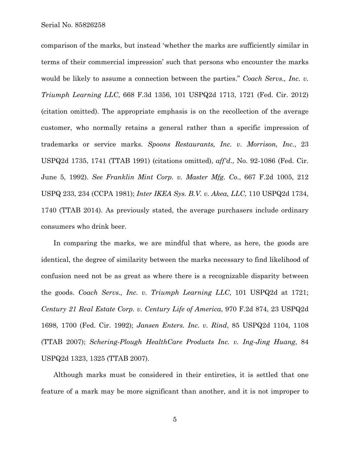Serial No. 85826258

comparison of the marks, but instead 'whether the marks are sufficiently similar in terms of their commercial impression' such that persons who encounter the marks would be likely to assume a connection between the parties." *Coach Servs., Inc. v. Triumph Learning LLC*, 668 F.3d 1356, 101 USPQ2d 1713, 1721 (Fed. Cir. 2012) (citation omitted). The appropriate emphasis is on the recollection of the average customer, who normally retains a general rather than a specific impression of trademarks or service marks. *Spoons Restaurants, Inc. v. Morrison, Inc.*, 23 USPQ2d 1735, 1741 (TTAB 1991) (citations omitted), *aff'd*., No. 92-1086 (Fed. Cir. June 5, 1992). *See Franklin Mint Corp. v. Master Mfg. Co.*, 667 F.2d 1005, 212 USPQ 233, 234 (CCPA 1981); *Inter IKEA Sys. B.V. v. Akea, LLC*, 110 USPQ2d 1734, 1740 (TTAB 2014). As previously stated, the average purchasers include ordinary consumers who drink beer.

In comparing the marks, we are mindful that where, as here, the goods are identical, the degree of similarity between the marks necessary to find likelihood of confusion need not be as great as where there is a recognizable disparity between the goods. *Coach Servs., Inc. v. Triumph Learning LLC*, 101 USPQ2d at 1721; *Century 21 Real Estate Corp. v. Century Life of America*, 970 F.2d 874, 23 USPQ2d 1698, 1700 (Fed. Cir. 1992); *Jansen Enters. Inc. v. Rind*, 85 USPQ2d 1104, 1108 (TTAB 2007); *Schering-Plough HealthCare Products Inc. v. Ing-Jing Huang*, 84 USPQ2d 1323, 1325 (TTAB 2007).

Although marks must be considered in their entireties, it is settled that one feature of a mark may be more significant than another, and it is not improper to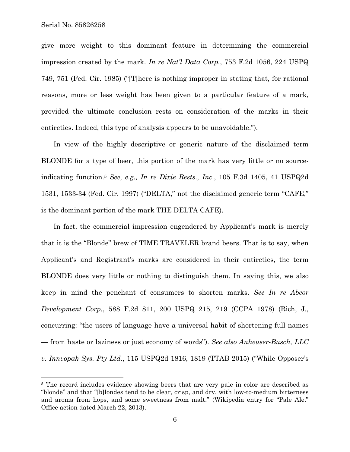give more weight to this dominant feature in determining the commercial impression created by the mark. *In re Nat'l Data Corp.*, 753 F.2d 1056, 224 USPQ 749, 751 (Fed. Cir. 1985) ("[T]here is nothing improper in stating that, for rational reasons, more or less weight has been given to a particular feature of a mark, provided the ultimate conclusion rests on consideration of the marks in their entireties. Indeed, this type of analysis appears to be unavoidable.").

In view of the highly descriptive or generic nature of the disclaimed term BLONDE for a type of beer, this portion of the mark has very little or no sourceindicating function.5 *See, e.g., In re Dixie Rests., Inc*., 105 F.3d 1405, 41 USPQ2d 1531, 1533-34 (Fed. Cir. 1997) ("DELTA," not the disclaimed generic term "CAFE," is the dominant portion of the mark THE DELTA CAFE).

In fact, the commercial impression engendered by Applicant's mark is merely that it is the "Blonde" brew of TIME TRAVELER brand beers. That is to say, when Applicant's and Registrant's marks are considered in their entireties, the term BLONDE does very little or nothing to distinguish them. In saying this, we also keep in mind the penchant of consumers to shorten marks. *See In re Abcor Development Corp.*, 588 F.2d 811, 200 USPQ 215, 219 (CCPA 1978) (Rich, J., concurring: "the users of language have a universal habit of shortening full names — from haste or laziness or just economy of words"). *See also Anheuser-Busch, LLC v. Innvopak Sys. Pty Ltd.*, 115 USPQ2d 1816, 1819 (TTAB 2015) ("While Opposer's

<sup>&</sup>lt;sup>5</sup> The record includes evidence showing beers that are very pale in color are described as "blonde" and that "[b]londes tend to be clear, crisp, and dry, with low-to-medium bitterness and aroma from hops, and some sweetness from malt." (Wikipedia entry for "Pale Ale," Office action dated March 22, 2013).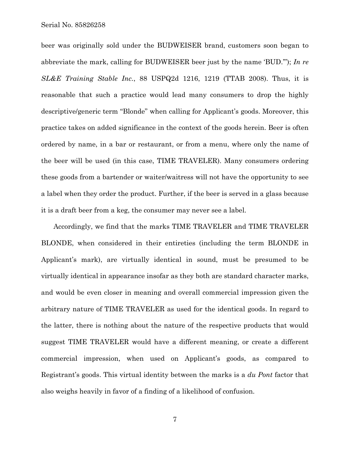Serial No. 85826258

beer was originally sold under the BUDWEISER brand, customers soon began to abbreviate the mark, calling for BUDWEISER beer just by the name 'BUD.'"); *In re SL&E Training Stable Inc.*, 88 USPQ2d 1216, 1219 (TTAB 2008). Thus, it is reasonable that such a practice would lead many consumers to drop the highly descriptive/generic term "Blonde" when calling for Applicant's goods. Moreover, this practice takes on added significance in the context of the goods herein. Beer is often ordered by name, in a bar or restaurant, or from a menu, where only the name of the beer will be used (in this case, TIME TRAVELER). Many consumers ordering these goods from a bartender or waiter/waitress will not have the opportunity to see a label when they order the product. Further, if the beer is served in a glass because it is a draft beer from a keg, the consumer may never see a label.

Accordingly, we find that the marks TIME TRAVELER and TIME TRAVELER BLONDE, when considered in their entireties (including the term BLONDE in Applicant's mark), are virtually identical in sound, must be presumed to be virtually identical in appearance insofar as they both are standard character marks, and would be even closer in meaning and overall commercial impression given the arbitrary nature of TIME TRAVELER as used for the identical goods. In regard to the latter, there is nothing about the nature of the respective products that would suggest TIME TRAVELER would have a different meaning, or create a different commercial impression, when used on Applicant's goods, as compared to Registrant's goods. This virtual identity between the marks is a *du Pont* factor that also weighs heavily in favor of a finding of a likelihood of confusion.

7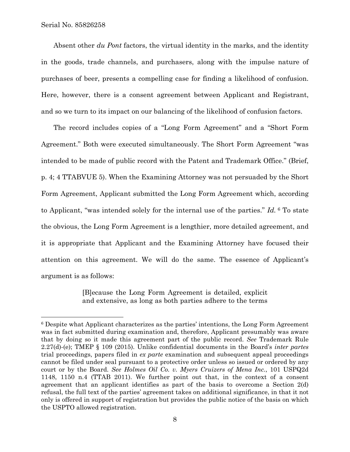Absent other *du Pont* factors, the virtual identity in the marks, and the identity in the goods, trade channels, and purchasers, along with the impulse nature of purchases of beer, presents a compelling case for finding a likelihood of confusion. Here, however, there is a consent agreement between Applicant and Registrant, and so we turn to its impact on our balancing of the likelihood of confusion factors.

The record includes copies of a "Long Form Agreement" and a "Short Form Agreement." Both were executed simultaneously. The Short Form Agreement "was intended to be made of public record with the Patent and Trademark Office." (Brief, p. 4; 4 TTABVUE 5). When the Examining Attorney was not persuaded by the Short Form Agreement, Applicant submitted the Long Form Agreement which, according to Applicant, "was intended solely for the internal use of the parties." *Id.* 6 To state the obvious, the Long Form Agreement is a lengthier, more detailed agreement, and it is appropriate that Applicant and the Examining Attorney have focused their attention on this agreement. We will do the same. The essence of Applicant's argument is as follows:

> [B]ecause the Long Form Agreement is detailed, explicit and extensive, as long as both parties adhere to the terms

<sup>6</sup> Despite what Applicant characterizes as the parties' intentions, the Long Form Agreement was in fact submitted during examination and, therefore, Applicant presumably was aware that by doing so it made this agreement part of the public record. *See* Trademark Rule 2.27(d)-(e); TMEP § 109 (2015). Unlike confidential documents in the Board's *inter partes* trial proceedings, papers filed in *ex parte* examination and subsequent appeal proceedings cannot be filed under seal pursuant to a protective order unless so issued or ordered by any court or by the Board. *See Holmes Oil Co. v. Myers Cruizers of Mena Inc.*, 101 USPQ2d 1148, 1150 n.4 (TTAB 2011). We further point out that, in the context of a consent agreement that an applicant identifies as part of the basis to overcome a Section 2(d) refusal, the full text of the parties' agreement takes on additional significance, in that it not only is offered in support of registration but provides the public notice of the basis on which the USPTO allowed registration.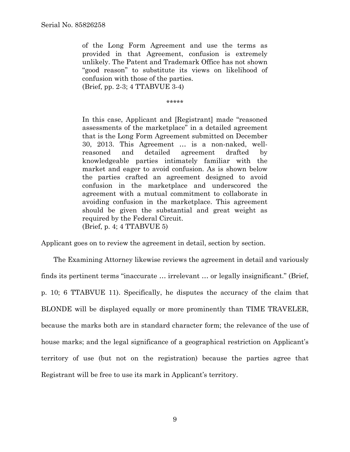of the Long Form Agreement and use the terms as provided in that Agreement, confusion is extremely unlikely. The Patent and Trademark Office has not shown "good reason" to substitute its views on likelihood of confusion with those of the parties. (Brief, pp. 2-3; 4 TTABVUE 3-4)

\*\*\*\*\*

In this case, Applicant and [Registrant] made "reasoned assessments of the marketplace" in a detailed agreement that is the Long Form Agreement submitted on December 30, 2013. This Agreement … is a non-naked, wellreasoned and detailed agreement drafted by knowledgeable parties intimately familiar with the market and eager to avoid confusion. As is shown below the parties crafted an agreement designed to avoid confusion in the marketplace and underscored the agreement with a mutual commitment to collaborate in avoiding confusion in the marketplace. This agreement should be given the substantial and great weight as required by the Federal Circuit. (Brief, p. 4; 4 TTABVUE 5)

Applicant goes on to review the agreement in detail, section by section.

The Examining Attorney likewise reviews the agreement in detail and variously finds its pertinent terms "inaccurate … irrelevant … or legally insignificant." (Brief, p. 10; 6 TTABVUE 11). Specifically, he disputes the accuracy of the claim that BLONDE will be displayed equally or more prominently than TIME TRAVELER, because the marks both are in standard character form; the relevance of the use of house marks; and the legal significance of a geographical restriction on Applicant's territory of use (but not on the registration) because the parties agree that Registrant will be free to use its mark in Applicant's territory.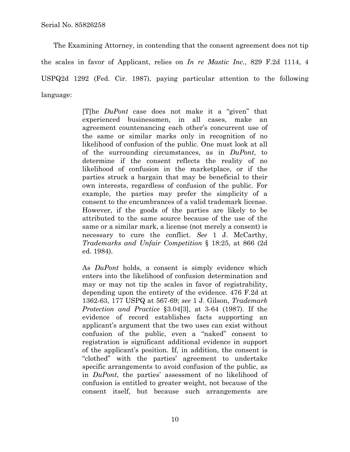The Examining Attorney, in contending that the consent agreement does not tip the scales in favor of Applicant, relies on *In re Mastic Inc.*, 829 F.2d 1114, 4 USPQ2d 1292 (Fed. Cir. 1987), paying particular attention to the following language:

> [T]he *DuPont* case does not make it a "given" that experienced businessmen, in all cases, make an agreement countenancing each other's concurrent use of the same or similar marks only in recognition of no likelihood of confusion of the public. One must look at all of the surrounding circumstances, as in *DuPont*, to determine if the consent reflects the reality of no likelihood of confusion in the marketplace, or if the parties struck a bargain that may be beneficial to their own interests, regardless of confusion of the public. For example, the parties may prefer the simplicity of a consent to the encumbrances of a valid trademark license. However, if the goods of the parties are likely to be attributed to the same source because of the use of the same or a similar mark, a license (not merely a consent) is necessary to cure the conflict. *See* 1 J. McCarthy, *Trademarks and Unfair Competition* § 18:25, at 866 (2d ed. 1984).

> As *DuPont* holds, a consent is simply evidence which enters into the likelihood of confusion determination and may or may not tip the scales in favor of registrability, depending upon the entirety of the evidence. 476 F.2d at 1362-63, 177 USPQ at 567-69; *see* 1 J. Gilson, *Trademark Protection and Practice* §3.04[3], at 3-64 (1987). If the evidence of record establishes facts supporting an applicant's argument that the two uses can exist without confusion of the public, even a "naked" consent to registration is significant additional evidence in support of the applicant's position. If, in addition, the consent is "clothed" with the parties' agreement to undertake specific arrangements to avoid confusion of the public, as in *DuPont*, the parties' assessment of no likelihood of confusion is entitled to greater weight, not because of the consent itself, but because such arrangements are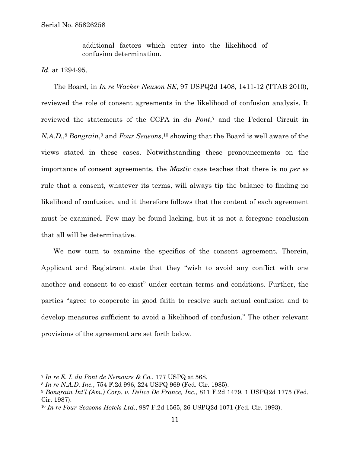additional factors which enter into the likelihood of confusion determination.

*Id.* at 1294-95.

 $\overline{a}$ 

The Board, in *In re Wacker Neuson SE*, 97 USPQ2d 1408, 1411-12 (TTAB 2010), reviewed the role of consent agreements in the likelihood of confusion analysis. It reviewed the statements of the CCPA in *du Pont*,7 and the Federal Circuit in *N.A.D.*,8 *Bongrain*,9 and *Four Seasons*,10 showing that the Board is well aware of the views stated in these cases. Notwithstanding these pronouncements on the importance of consent agreements, the *Mastic* case teaches that there is no *per se* rule that a consent, whatever its terms, will always tip the balance to finding no likelihood of confusion, and it therefore follows that the content of each agreement must be examined. Few may be found lacking, but it is not a foregone conclusion that all will be determinative.

We now turn to examine the specifics of the consent agreement. Therein, Applicant and Registrant state that they "wish to avoid any conflict with one another and consent to co-exist" under certain terms and conditions. Further, the parties "agree to cooperate in good faith to resolve such actual confusion and to develop measures sufficient to avoid a likelihood of confusion." The other relevant provisions of the agreement are set forth below.

<sup>7</sup> *In re E. I. du Pont de Nemours & Co.*, 177 USPQ at 568.

<sup>8</sup> *In re N.A.D. Inc.*, 754 F.2d 996, 224 USPQ 969 (Fed. Cir. 1985).

<sup>9</sup> *Bongrain Int'l (Am.) Corp. v. Delice De France, Inc.*, 811 F.2d 1479, 1 USPQ2d 1775 (Fed. Cir. 1987).

<sup>10</sup> *In re Four Seasons Hotels Ltd.*, 987 F.2d 1565, 26 USPQ2d 1071 (Fed. Cir. 1993).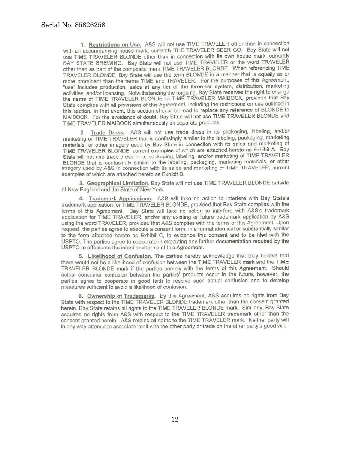1. Restrictions on Use. A&S will not use TIME TRAVELER other than in connection with an accompanying house mark, currently THE TRAVELER BEER CO. Bay State will not use TIME TRAVELER BLONDE other than in connection with its own house mark, currently BAY STATE BREWING. Bay State will not use TIME TRAVELER or the word TRAVELER other than as part of the composite mark TIME TRAVELER BLONDE. When referencing TIME TRAVELER BLONDE. Bay State will use the term BLONDE in a manner that is equally as or more prominent than the terms TIME and TRAVELER. For the purposes of this Agreement, "use" includes production, sales at any tier of the three-tier system, distribution, marketing activities, and/or licensing. Notwithstanding the forgoing, Bay State reserves the right to change the name of TIME TRAVELER BLONDE to TIME TRAVELER MAIBOCK, provided that Bay State complies with all provisions of this Agreement, including the restrictions on use outlined in this section. In that event, this section should be read to replace any reference of BLONDE to MAIBOCK. For the avoidance of doubt, Bay State will not use TIME TRAVELER BLONDE and TIME TRAVELER MAIBOCK simultaneously on separate products.

2. Trade Dress. A&S will not use trade dress in its packaging, labeling, and/or marketing of TIME TRAVELER that is confusingly similar to the labeling, packaging, marketing materials, or other imagery used by Bay State in connection with its sales and marketing of TIME TRAVELER BLONDE, current examples of which are attached hereto as Exhibit A. Bay State will not use trade dress in its packaging, labeling, and/or marketing of TIME TRAVELER BLONDE that is confusingly similar to the labeling, packaging, marketing materials, or other imagery used by A&S in connection with its sales and marketing of TIME TRAVELER, current examples of which are attached hereto as Exhibit B.

3. Geographical Limitation. Bay State will not use TIME TRAVELER BLONDE outside of New England and the State of New York.

4. Trademark Applications. A&S will take no action to interfere with Bay State's trademark application for TIME TRAVELER BLONDE, provided that Bay State complies with the terms of this Agreement. Bay State will take no action to interfere with A&S's trademark application for TIME TRAVELER, and/or any existing or future trademark application by A&S using the word TRAVELER, provided that A&S complies with the terms of this Agreement. Upon request, the parties agree to execute a consent form, in a format identical or substantially similar to the form attached hereto as Exhibit C, to evidence this consent and to be filed with the USPTO. The parties agree to cooperate in executing any further documentation required by the USPTO to effectuate the intent and terms of this Agreement.

5. Likelihood of Confusion. The parties hereby acknowledge that they believe that there would not be a likelihood of confusion between the TIME TRAVELER mark and the TIME TRAVELER BLONDE mark if the parties comply with the terms of this Agreement. Should actual consumer confusion between the parties' products occur in the future, however, the parties agree to cooperate in good faith to resolve such actual confusion and to develop measures sufficient to avoid a likelihood of confusion.

6. Ownership of Trademarks. By this Agreement, A&S acquires no rights from Bay State with respect to the TIME TRAVELER BLONDE trademark other than the consent granted herein. Bay State retains all rights to the TIME TRAVELER BLONDE mark. Similarly, Bay State acquires no rights from A&S with respect to the TIME TRAVELER trademark other than the consent granted herein. A&S retains all rights to the TIME TRAVELER mark. Neither party will in any way attempt to associate itself with the other party or trade on the other party's good will.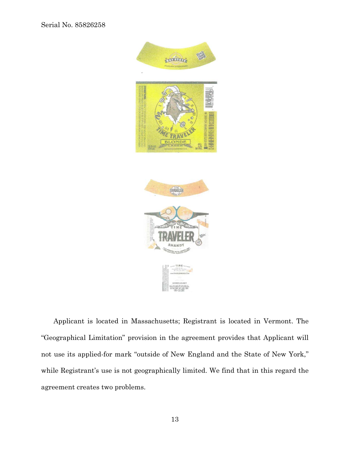

Applicant is located in Massachusetts; Registrant is located in Vermont. The "Geographical Limitation" provision in the agreement provides that Applicant will not use its applied-for mark "outside of New England and the State of New York," while Registrant's use is not geographically limited. We find that in this regard the agreement creates two problems.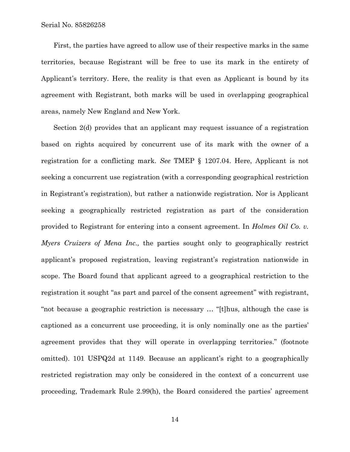Serial No. 85826258

First, the parties have agreed to allow use of their respective marks in the same territories, because Registrant will be free to use its mark in the entirety of Applicant's territory. Here, the reality is that even as Applicant is bound by its agreement with Registrant, both marks will be used in overlapping geographical areas, namely New England and New York.

Section 2(d) provides that an applicant may request issuance of a registration based on rights acquired by concurrent use of its mark with the owner of a registration for a conflicting mark. *See* TMEP § 1207.04. Here, Applicant is not seeking a concurrent use registration (with a corresponding geographical restriction in Registrant's registration), but rather a nationwide registration. Nor is Applicant seeking a geographically restricted registration as part of the consideration provided to Registrant for entering into a consent agreement. In *Holmes Oil Co. v. Myers Cruizers of Mena Inc.,* the parties sought only to geographically restrict applicant's proposed registration, leaving registrant's registration nationwide in scope. The Board found that applicant agreed to a geographical restriction to the registration it sought "as part and parcel of the consent agreement" with registrant, "not because a geographic restriction is necessary … "[t]hus, although the case is captioned as a concurrent use proceeding, it is only nominally one as the parties' agreement provides that they will operate in overlapping territories." (footnote omitted). 101 USPQ2d at 1149. Because an applicant's right to a geographically restricted registration may only be considered in the context of a concurrent use proceeding, Trademark Rule 2.99(h), the Board considered the parties' agreement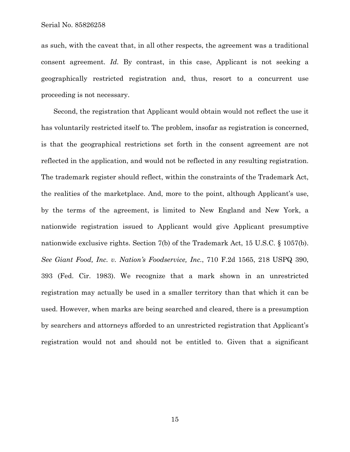as such, with the caveat that, in all other respects, the agreement was a traditional consent agreement. *Id.* By contrast, in this case, Applicant is not seeking a geographically restricted registration and, thus, resort to a concurrent use proceeding is not necessary.

Second, the registration that Applicant would obtain would not reflect the use it has voluntarily restricted itself to. The problem, insofar as registration is concerned, is that the geographical restrictions set forth in the consent agreement are not reflected in the application, and would not be reflected in any resulting registration. The trademark register should reflect, within the constraints of the Trademark Act, the realities of the marketplace. And, more to the point, although Applicant's use, by the terms of the agreement, is limited to New England and New York, a nationwide registration issued to Applicant would give Applicant presumptive nationwide exclusive rights. Section 7(b) of the Trademark Act, 15 U.S.C. § 1057(b). *See Giant Food, Inc. v. Nation's Foodservice, Inc.*, 710 F.2d 1565, 218 USPQ 390, 393 (Fed. Cir. 1983). We recognize that a mark shown in an unrestricted registration may actually be used in a smaller territory than that which it can be used. However, when marks are being searched and cleared, there is a presumption by searchers and attorneys afforded to an unrestricted registration that Applicant's registration would not and should not be entitled to. Given that a significant

15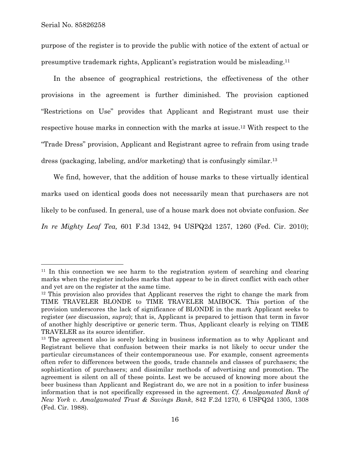l

purpose of the register is to provide the public with notice of the extent of actual or presumptive trademark rights, Applicant's registration would be misleading.11

In the absence of geographical restrictions, the effectiveness of the other provisions in the agreement is further diminished. The provision captioned "Restrictions on Use" provides that Applicant and Registrant must use their respective house marks in connection with the marks at issue.12 With respect to the "Trade Dress" provision, Applicant and Registrant agree to refrain from using trade dress (packaging, labeling, and/or marketing) that is confusingly similar.13

We find, however, that the addition of house marks to these virtually identical marks used on identical goods does not necessarily mean that purchasers are not likely to be confused. In general, use of a house mark does not obviate confusion. *See In re Mighty Leaf Tea,* 601 F.3d 1342, 94 USPQ2d 1257, 1260 (Fed. Cir. 2010);

<sup>&</sup>lt;sup>11</sup> In this connection we see harm to the registration system of searching and clearing marks when the register includes marks that appear to be in direct conflict with each other and yet are on the register at the same time.

<sup>&</sup>lt;sup>12</sup> This provision also provides that Applicant reserves the right to change the mark from TIME TRAVELER BLONDE to TIME TRAVELER MAIBOCK. This portion of the provision underscores the lack of significance of BLONDE in the mark Applicant seeks to register (*see* discussion, *supra*); that is, Applicant is prepared to jettison that term in favor of another highly descriptive or generic term. Thus, Applicant clearly is relying on TIME TRAVELER as its source identifier.

<sup>&</sup>lt;sup>13</sup> The agreement also is sorely lacking in business information as to why Applicant and Registrant believe that confusion between their marks is not likely to occur under the particular circumstances of their contemporaneous use. For example, consent agreements often refer to differences between the goods, trade channels and classes of purchasers; the sophistication of purchasers; and dissimilar methods of advertising and promotion. The agreement is silent on all of these points. Lest we be accused of knowing more about the beer business than Applicant and Registrant do, we are not in a position to infer business information that is not specifically expressed in the agreement. *Cf. Amalgamated Bank of New York v. Amalgamated Trust & Savings Bank*, 842 F.2d 1270, 6 USPQ2d 1305, 1308 (Fed. Cir. 1988).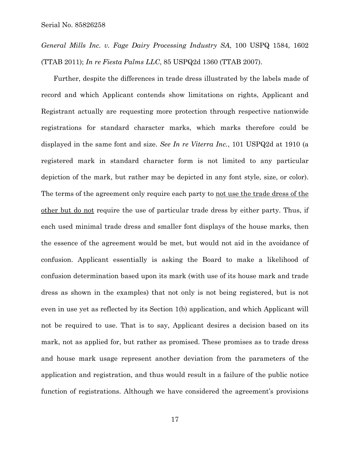*General Mills Inc. v. Fage Dairy Processing Industry SA*, 100 USPQ 1584, 1602 (TTAB 2011); *In re Fiesta Palms LLC*, 85 USPQ2d 1360 (TTAB 2007).

Further, despite the differences in trade dress illustrated by the labels made of record and which Applicant contends show limitations on rights, Applicant and Registrant actually are requesting more protection through respective nationwide registrations for standard character marks, which marks therefore could be displayed in the same font and size. *See In re Viterra Inc.*, 101 USPQ2d at 1910 (a registered mark in standard character form is not limited to any particular depiction of the mark, but rather may be depicted in any font style, size, or color). The terms of the agreement only require each party to <u>not use the trade dress of the</u> other but do not require the use of particular trade dress by either party. Thus, if each used minimal trade dress and smaller font displays of the house marks, then the essence of the agreement would be met, but would not aid in the avoidance of confusion. Applicant essentially is asking the Board to make a likelihood of confusion determination based upon its mark (with use of its house mark and trade dress as shown in the examples) that not only is not being registered, but is not even in use yet as reflected by its Section 1(b) application, and which Applicant will not be required to use. That is to say, Applicant desires a decision based on its mark, not as applied for, but rather as promised. These promises as to trade dress and house mark usage represent another deviation from the parameters of the application and registration, and thus would result in a failure of the public notice function of registrations. Although we have considered the agreement's provisions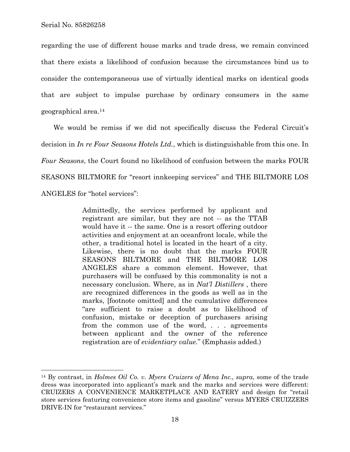1

regarding the use of different house marks and trade dress, we remain convinced that there exists a likelihood of confusion because the circumstances bind us to consider the contemporaneous use of virtually identical marks on identical goods that are subject to impulse purchase by ordinary consumers in the same geographical area.14

We would be remiss if we did not specifically discuss the Federal Circuit's decision in *In re Four Seasons Hotels Ltd.*, which is distinguishable from this one. In *Four Seasons*, the Court found no likelihood of confusion between the marks FOUR SEASONS BILTMORE for "resort innkeeping services" and THE BILTMORE LOS ANGELES for "hotel services":

> Admittedly, the services performed by applicant and registrant are similar, but they are not -- as the TTAB would have it -- the same. One is a resort offering outdoor activities and enjoyment at an oceanfront locale, while the other, a traditional hotel is located in the heart of a city. Likewise, there is no doubt that the marks FOUR SEASONS BILTMORE and THE BILTMORE LOS ANGELES share a common element. However, that purchasers will be confused by this commonality is not a necessary conclusion. Where, as in *Nat'l Distillers* , there are recognized differences in the goods as well as in the marks, [footnote omitted] and the cumulative differences "are sufficient to raise a doubt as to likelihood of confusion, mistake or deception of purchasers arising from the common use of the word, . . . agreements between applicant and the owner of the reference registration are of *evidentiary value.*" (Emphasis added.)

<sup>14</sup> By contrast, in *Holmes Oil Co. v. Myers Cruizers of Mena Inc., supra*, some of the trade dress was incorporated into applicant's mark and the marks and services were different: CRUIZERS A CONVENIENCE MARKETPLACE AND EATERY and design for "retail store services featuring convenience store items and gasoline" versus MYERS CRUIZZERS DRIVE-IN for "restaurant services."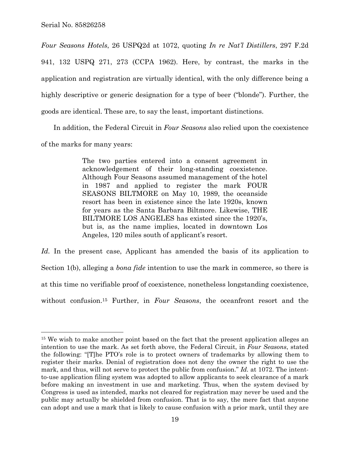*Four Seasons Hotels*, 26 USPQ2d at 1072, quoting *In re Nat'l Distillers*, 297 F.2d 941, 132 USPQ 271, 273 (CCPA 1962). Here, by contrast, the marks in the application and registration are virtually identical, with the only difference being a highly descriptive or generic designation for a type of beer ("blonde"). Further, the goods are identical. These are, to say the least, important distinctions.

In addition, the Federal Circuit in *Four Seasons* also relied upon the coexistence of the marks for many years:

> The two parties entered into a consent agreement in acknowledgement of their long-standing coexistence. Although Four Seasons assumed management of the hotel in 1987 and applied to register the mark FOUR SEASONS BILTMORE on May 10, 1989, the oceanside resort has been in existence since the late 1920s, known for years as the Santa Barbara Biltmore. Likewise, THE BILTMORE LOS ANGELES has existed since the 1920's, but is, as the name implies, located in downtown Los Angeles, 120 miles south of applicant's resort.

Id. In the present case, Applicant has amended the basis of its application to Section 1(b), alleging a *bona fide* intention to use the mark in commerce, so there is at this time no verifiable proof of coexistence, nonetheless longstanding coexistence, without confusion.15 Further, in *Four Seasons*, the oceanfront resort and the

<sup>&</sup>lt;sup>15</sup> We wish to make another point based on the fact that the present application alleges an intention to use the mark. As set forth above, the Federal Circuit, in *Four Seasons*, stated the following: "[T]he PTO's role is to protect owners of trademarks by allowing them to register their marks. Denial of registration does not deny the owner the right to use the mark, and thus, will not serve to protect the public from confusion." *Id.* at 1072. The intentto-use application filing system was adopted to allow applicants to seek clearance of a mark before making an investment in use and marketing. Thus, when the system devised by Congress is used as intended, marks not cleared for registration may never be used and the public may actually be shielded from confusion. That is to say, the mere fact that anyone can adopt and use a mark that is likely to cause confusion with a prior mark, until they are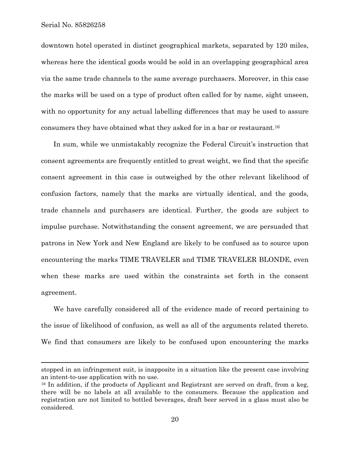1

downtown hotel operated in distinct geographical markets, separated by 120 miles, whereas here the identical goods would be sold in an overlapping geographical area via the same trade channels to the same average purchasers. Moreover, in this case the marks will be used on a type of product often called for by name, sight unseen, with no opportunity for any actual labelling differences that may be used to assure consumers they have obtained what they asked for in a bar or restaurant.16

In sum, while we unmistakably recognize the Federal Circuit's instruction that consent agreements are frequently entitled to great weight, we find that the specific consent agreement in this case is outweighed by the other relevant likelihood of confusion factors, namely that the marks are virtually identical, and the goods, trade channels and purchasers are identical. Further, the goods are subject to impulse purchase. Notwithstanding the consent agreement, we are persuaded that patrons in New York and New England are likely to be confused as to source upon encountering the marks TIME TRAVELER and TIME TRAVELER BLONDE, even when these marks are used within the constraints set forth in the consent agreement.

We have carefully considered all of the evidence made of record pertaining to the issue of likelihood of confusion, as well as all of the arguments related thereto. We find that consumers are likely to be confused upon encountering the marks

stopped in an infringement suit, is inapposite in a situation like the present case involving an intent-to-use application with no use.

<sup>&</sup>lt;sup>16</sup> In addition, if the products of Applicant and Registrant are served on draft, from a keg, there will be no labels at all available to the consumers. Because the application and registration are not limited to bottled beverages, draft beer served in a glass must also be considered.